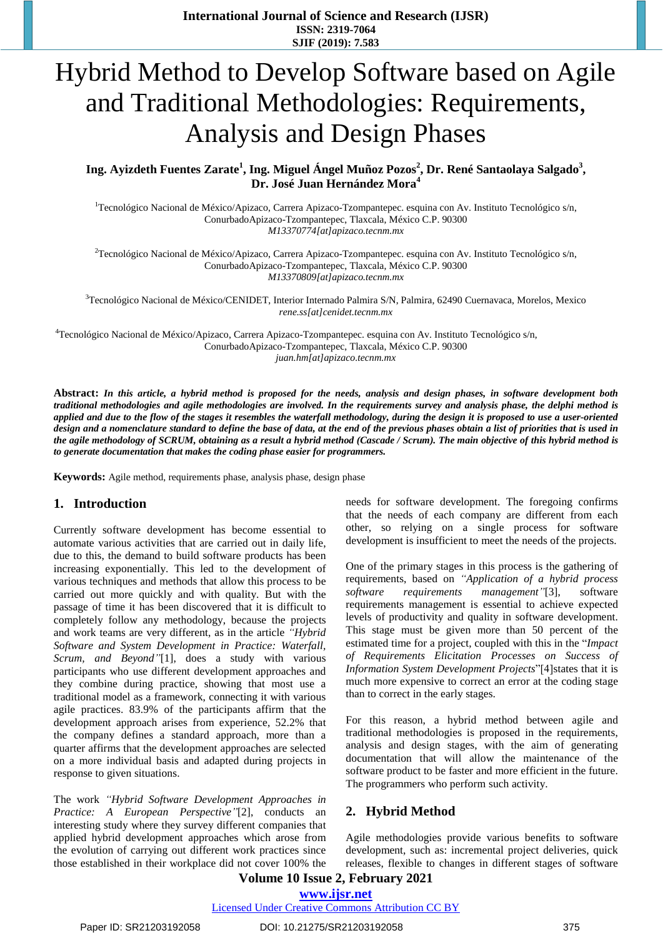# Hybrid Method to Develop Software based on Agile and Traditional Methodologies: Requirements, Analysis and Design Phases

Ing. Ayizdeth Fuentes Zarate<sup>1</sup>, Ing. Miguel Ángel Muñoz Pozos<sup>2</sup>, Dr. René Santaolaya Salgado<sup>3</sup>, **Dr. José Juan Hernández Mora<sup>4</sup>**

<sup>1</sup>Tecnológico Nacional de México/Apizaco, Carrera Apizaco-Tzompantepec. esquina con Av. Instituto Tecnológico s/n, ConurbadoApizaco-Tzompantepec, Tlaxcala, México C.P. 90300 *M13370774[at]apizaco.tecnm.mx*

 $2$ Tecnológico Nacional de México/Apizaco, Carrera Apizaco-Tzompantepec. esquina con Av. Instituto Tecnológico s/n, ConurbadoApizaco-Tzompantepec, Tlaxcala, México C.P. 90300 *M13370809[at]apizaco.tecnm.mx*

<sup>3</sup>Tecnológico Nacional de México/CENIDET, Interior Internado Palmira S/N, Palmira, 62490 Cuernavaca, Morelos, Mexico *rene.ss[at]cenidet.tecnm.mx*

<sup>4</sup>Tecnológico Nacional de México/Apizaco, Carrera Apizaco-Tzompantepec. esquina con Av. Instituto Tecnológico s/n, ConurbadoApizaco-Tzompantepec, Tlaxcala, México C.P. 90300 *juan.hm[at]apizaco.tecnm.mx*

Abstract: In this article, a hybrid method is proposed for the needs, analysis and design phases, in software development both traditional methodologies and agile methodologies are involved. In the requirements survey and analysis phase, the delphi method is applied and due to the flow of the stages it resembles the waterfall methodology, during the design it is proposed to use a user-oriented design and a nomenclature standard to define the base of data, at the end of the previous phases obtain a list of priorities that is used in the agile methodology of SCRUM, obtaining as a result a hybrid method (Cascade / Scrum). The main objective of this hybrid method is *to generate documentation that makes the coding phase easier for programmers.*

**Keywords:** Agile method, requirements phase, analysis phase, design phase

# **1. Introduction**

Currently software development has become essential to automate various activities that are carried out in daily life, due to this, the demand to build software products has been increasing exponentially. This led to the development of various techniques and methods that allow this process to be carried out more quickly and with quality. But with the passage of time it has been discovered that it is difficult to completely follow any methodology, because the projects and work teams are very different, as in the article *"Hybrid Software and System Development in Practice: Waterfall, Scrum, and Beyond"*[1], does a study with various participants who use different development approaches and they combine during practice, showing that most use a traditional model as a framework, connecting it with various agile practices. 83.9% of the participants affirm that the development approach arises from experience, 52.2% that the company defines a standard approach, more than a quarter affirms that the development approaches are selected on a more individual basis and adapted during projects in response to given situations.

The work *"Hybrid Software Development Approaches in Practice: A European Perspective"*[2], conducts an interesting study where they survey different companies that applied hybrid development approaches which arose from the evolution of carrying out different work practices since those established in their workplace did not cover 100% the needs for software development. The foregoing confirms that the needs of each company are different from each other, so relying on a single process for software development is insufficient to meet the needs of the projects.

One of the primary stages in this process is the gathering of requirements, based on *"Application of a hybrid process software requirements management"*[3], software requirements management is essential to achieve expected levels of productivity and quality in software development. This stage must be given more than 50 percent of the estimated time for a project, coupled with this in the "*Impact of Requirements Elicitation Processes on Success of Information System Development Projects*"[4]states that it is much more expensive to correct an error at the coding stage than to correct in the early stages.

For this reason, a hybrid method between agile and traditional methodologies is proposed in the requirements, analysis and design stages, with the aim of generating documentation that will allow the maintenance of the software product to be faster and more efficient in the future. The programmers who perform such activity.

# **2. Hybrid Method**

Agile methodologies provide various benefits to software development, such as: incremental project deliveries, quick releases, flexible to changes in different stages of software

# **Volume 10 Issue 2, February 2021 www.ijsr.net**

Licensed Under Creative Commons Attribution CC BY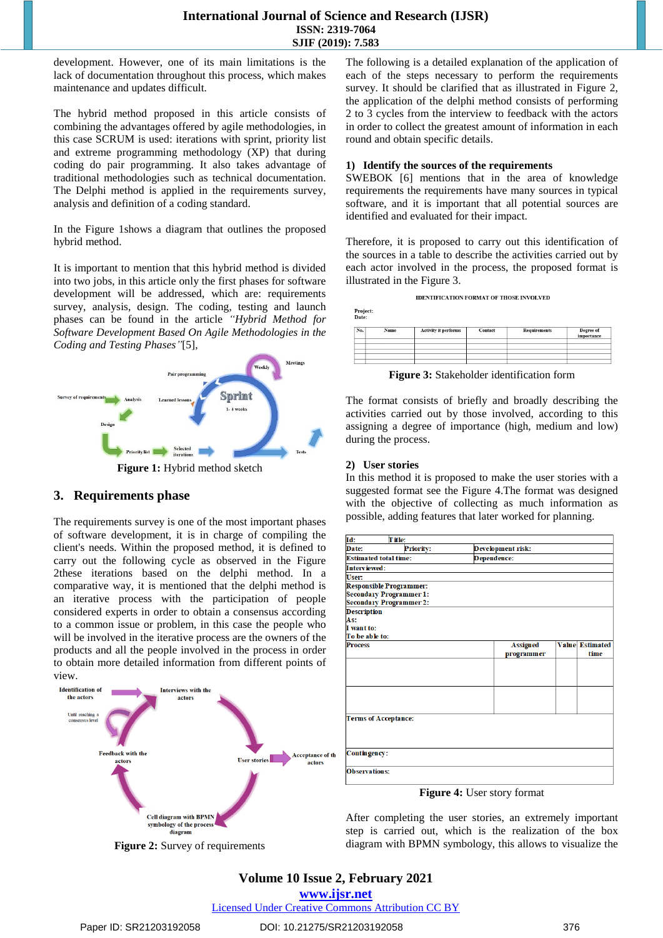## **International Journal of Science and Research (IJSR) ISSN: 2319-7064 SJIF (2019): 7.583**

development. However, one of its main limitations is the lack of documentation throughout this process, which makes maintenance and updates difficult.

The hybrid method proposed in this article consists of combining the advantages offered by agile methodologies, in this case SCRUM is used: iterations with sprint, priority list and extreme programming methodology (XP) that during coding do pair programming. It also takes advantage of traditional methodologies such as technical documentation. The Delphi method is applied in the requirements survey, analysis and definition of a coding standard.

In the [Figure](#page-1-0) 1shows a diagram that outlines the proposed hybrid method.

It is important to mention that this hybrid method is divided into two jobs, in this article only the first phases for software development will be addressed, which are: requirements survey, analysis, design. The coding, testing and launch phases can be found in the article *"Hybrid Method for Software Development Based On Agile Methodologies in the Coding and Testing Phases"*[5],



# <span id="page-1-0"></span>**3. Requirements phase**

The requirements survey is one of the most important phases of software development, it is in charge of compiling the client's needs. Within the proposed method, it is defined to carry out the following cycle as observed in the [Figure](#page-1-1) [2t](#page-1-1)hese iterations based on the delphi method. In a comparative way, it is mentioned that the delphi method is an iterative process with the participation of people considered experts in order to obtain a consensus according to a common issue or problem, in this case the people who will be involved in the iterative process are the owners of the products and all the people involved in the process in order to obtain more detailed information from different points of view.



<span id="page-1-1"></span>**Figure 2:** Survey of requirements

The following is a detailed explanation of the application of each of the steps necessary to perform the requirements survey. It should be clarified that as illustrated in [Figure](#page-1-1) 2, the application of the delphi method consists of performing 2 to 3 cycles from the interview to feedback with the actors in order to collect the greatest amount of information in each round and obtain specific details.

#### **1) Identify the sources of the requirements**

SWEBOK [6] mentions that in the area of knowledge requirements the requirements have many sources in typical software, and it is important that all potential sources are identified and evaluated for their impact.

Therefore, it is proposed to carry out this identification of the sources in a table to describe the activities carried out by each actor involved in the process, the proposed format is illustrated in the [Figure](#page-1-2) 3.



| Date: |      |                      |         |              |                         |  |
|-------|------|----------------------|---------|--------------|-------------------------|--|
| No.   | Name | Activity it performs | Contact | Requirements | Degree of<br>importance |  |
|       |      |                      |         |              |                         |  |
|       |      |                      |         |              |                         |  |
|       |      |                      |         |              |                         |  |

**Figure 3:** Stakeholder identification form

<span id="page-1-2"></span>The format consists of briefly and broadly describing the activities carried out by those involved, according to this assigning a degree of importance (high, medium and low) during the process.

# **2) User stories**

Project:

In this method it is proposed to make the user stories with a suggested format see the [Figure](#page-1-3) 4.The format was designed with the objective of collecting as much information as possible, adding features that later worked for planning.

| Id:                          | T it le:                       |  |                   |  |                 |  |  |
|------------------------------|--------------------------------|--|-------------------|--|-----------------|--|--|
| Date:                        | <b>Priority:</b>               |  | Development risk: |  |                 |  |  |
| <b>Estimated total time:</b> |                                |  | Dependence:       |  |                 |  |  |
| Interviewed:                 |                                |  |                   |  |                 |  |  |
| User:                        |                                |  |                   |  |                 |  |  |
|                              | <b>Responsible Programmer:</b> |  |                   |  |                 |  |  |
|                              | <b>Secondary Programmer 1:</b> |  |                   |  |                 |  |  |
|                              | <b>Secondary Programmer 2:</b> |  |                   |  |                 |  |  |
| <b>Description</b>           |                                |  |                   |  |                 |  |  |
| As:                          |                                |  |                   |  |                 |  |  |
| I want to:                   |                                |  |                   |  |                 |  |  |
| To be able to:               |                                |  |                   |  |                 |  |  |
| <b>Process</b>               |                                |  | <b>Assigned</b>   |  | Value Estimated |  |  |
|                              |                                |  | programmer        |  | time            |  |  |
|                              |                                |  |                   |  |                 |  |  |
|                              |                                |  |                   |  |                 |  |  |
|                              |                                |  |                   |  |                 |  |  |
|                              |                                |  |                   |  |                 |  |  |
|                              |                                |  |                   |  |                 |  |  |
|                              |                                |  |                   |  |                 |  |  |
| <b>Terms of Acceptance:</b>  |                                |  |                   |  |                 |  |  |
|                              |                                |  |                   |  |                 |  |  |
|                              |                                |  |                   |  |                 |  |  |
| Contingency:                 |                                |  |                   |  |                 |  |  |
| <b>Observations:</b>         |                                |  |                   |  |                 |  |  |
|                              |                                |  |                   |  |                 |  |  |

**Figure 4:** User story format

<span id="page-1-3"></span>After completing the user stories, an extremely important step is carried out, which is the realization of the box diagram with BPMN symbology, this allows to visualize the

# **Volume 10 Issue 2, February 2021**

**www.ijsr.net**

Licensed Under Creative Commons Attribution CC BY

# Paper ID: SR21203192058 DOI: 10.21275/SR21203192058 376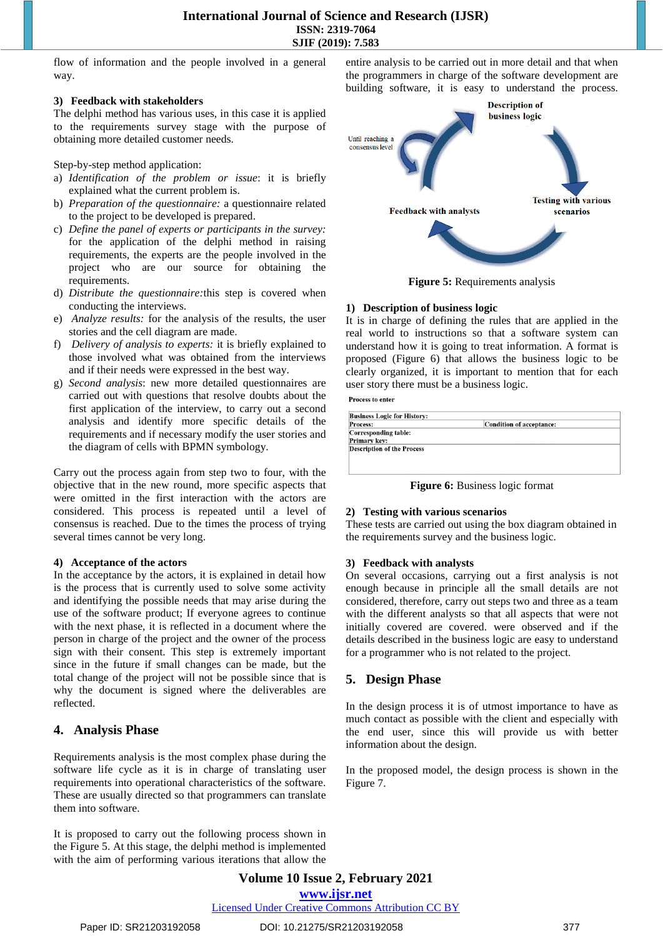flow of information and the people involved in a general way.

#### **3) Feedback with stakeholders**

The delphi method has various uses, in this case it is applied to the requirements survey stage with the purpose of obtaining more detailed customer needs.

Step-by-step method application:

- a) *Identification of the problem or issue*: it is briefly explained what the current problem is.
- b) *Preparation of the questionnaire:* a questionnaire related to the project to be developed is prepared.
- c) *Define the panel of experts or participants in the survey:* for the application of the delphi method in raising requirements, the experts are the people involved in the project who are our source for obtaining the requirements.
- d) *Distribute the questionnaire:*this step is covered when conducting the interviews.
- e) *Analyze results:* for the analysis of the results, the user stories and the cell diagram are made.
- f) *Delivery of analysis to experts:* it is briefly explained to those involved what was obtained from the interviews and if their needs were expressed in the best way.
- g) *Second analysis*: new more detailed questionnaires are carried out with questions that resolve doubts about the first application of the interview, to carry out a second analysis and identify more specific details of the requirements and if necessary modify the user stories and the diagram of cells with BPMN symbology.

Carry out the process again from step two to four, with the objective that in the new round, more specific aspects that were omitted in the first interaction with the actors are considered. This process is repeated until a level of consensus is reached. Due to the times the process of trying several times cannot be very long.

#### **4) Acceptance of the actors**

In the acceptance by the actors, it is explained in detail how is the process that is currently used to solve some activity and identifying the possible needs that may arise during the use of the software product; If everyone agrees to continue with the next phase, it is reflected in a document where the person in charge of the project and the owner of the process sign with their consent. This step is extremely important since in the future if small changes can be made, but the total change of the project will not be possible since that is why the document is signed where the deliverables are reflected.

# **4. Analysis Phase**

Requirements analysis is the most complex phase during the software life cycle as it is in charge of translating user requirements into operational characteristics of the software. These are usually directed so that programmers can translate them into software.

It is proposed to carry out the following process shown in the [Figure](#page-2-0) 5. At this stage, the delphi method is implemented with the aim of performing various iterations that allow the entire analysis to be carried out in more detail and that when the programmers in charge of the software development are building software, it is easy to understand the process.



**Figure 5:** Requirements analysis

#### <span id="page-2-0"></span>**1) Description of business logic**

It is in charge of defining the rules that are applied in the real world to instructions so that a software system can understand how it is going to treat information. A format is proposed [\(Figure](#page-2-1) 6) that allows the business logic to be clearly organized, it is important to mention that for each user story there must be a business logic.

**Process to enter** 

| <b>Business Logic for History:</b> |                          |  |  |  |
|------------------------------------|--------------------------|--|--|--|
| <b>Process:</b>                    | Condition of acceptance: |  |  |  |
| <b>Corresponding table:</b>        |                          |  |  |  |
| Primary key:                       |                          |  |  |  |
| <b>Description of the Process</b>  |                          |  |  |  |
|                                    |                          |  |  |  |
|                                    |                          |  |  |  |
|                                    |                          |  |  |  |

**Figure 6:** Business logic format

#### <span id="page-2-1"></span>**2) Testing with various scenarios**

These tests are carried out using the box diagram obtained in the requirements survey and the business logic.

#### **3) Feedback with analysts**

On several occasions, carrying out a first analysis is not enough because in principle all the small details are not considered, therefore, carry out steps two and three as a team with the different analysts so that all aspects that were not initially covered are covered. were observed and if the details described in the business logic are easy to understand for a programmer who is not related to the project.

# **5. Design Phase**

In the design process it is of utmost importance to have as much contact as possible with the client and especially with the end user, since this will provide us with better information about the design.

In the proposed model, the design process is shown in the [Figure](#page-3-0) 7.

**Volume 10 Issue 2, February 2021 www.ijsr.net** Licensed Under Creative Commons Attribution CC BY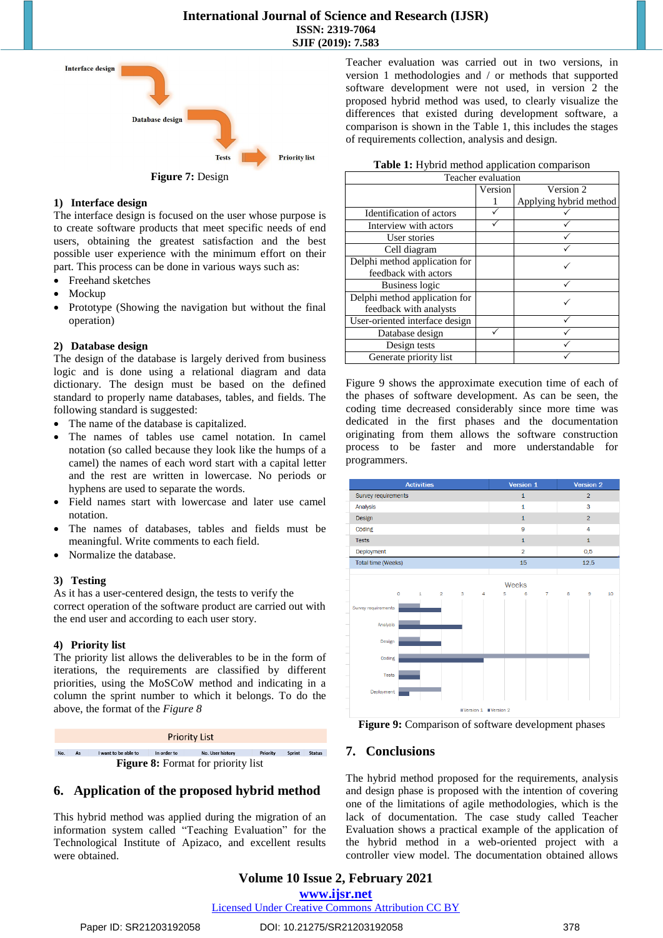

## <span id="page-3-0"></span>**1) Interface design**

The interface design is focused on the user whose purpose is to create software products that meet specific needs of end users, obtaining the greatest satisfaction and the best possible user experience with the minimum effort on their part. This process can be done in various ways such as:

- Freehand sketches
- Mockup
- Prototype (Showing the navigation but without the final operation)

#### **2) Database design**

The design of the database is largely derived from business logic and is done using a relational diagram and data dictionary. The design must be based on the defined standard to properly name databases, tables, and fields. The following standard is suggested:

- The name of the database is capitalized.
- The names of tables use camel notation. In camel notation (so called because they look like the humps of a camel) the names of each word start with a capital letter and the rest are written in lowercase. No periods or hyphens are used to separate the words.
- Field names start with lowercase and later use camel notation.
- The names of databases, tables and fields must be meaningful. Write comments to each field.
- Normalize the database.

#### **3) Testing**

As it has a user-centered design, the tests to verify the correct operation of the software product are carried out with the end user and according to each user story.

#### **4) Priority list**

The priority list allows the deliverables to be in the form of iterations, the requirements are classified by different priorities, using the MoSCoW method and indicating in a column the sprint number to which it belongs. To do the above, the format of the *[Figure](#page-3-1) 8*



# <span id="page-3-1"></span>**6. Application of the proposed hybrid method**

This hybrid method was applied during the migration of an information system called "Teaching Evaluation" for the Technological Institute of Apizaco, and excellent results were obtained.

Teacher evaluation was carried out in two versions, in version 1 methodologies and / or methods that supported software development were not used, in version 2 the proposed hybrid method was used, to clearly visualize the differences that existed during development software, a comparison is shown in the [Table](#page-3-2) 1, this includes the stages of requirements collection, analysis and design.

|  |  | Table 1: Hybrid method application comparison |
|--|--|-----------------------------------------------|
|  |  |                                               |

<span id="page-3-2"></span>

| Teacher evaluation             |         |                        |  |  |
|--------------------------------|---------|------------------------|--|--|
|                                | Version | Version 2              |  |  |
|                                |         | Applying hybrid method |  |  |
| Identification of actors       |         |                        |  |  |
| Interview with actors          |         |                        |  |  |
| User stories                   |         |                        |  |  |
| Cell diagram                   |         |                        |  |  |
| Delphi method application for  |         |                        |  |  |
| feedback with actors           |         |                        |  |  |
| <b>Business logic</b>          |         |                        |  |  |
| Delphi method application for  |         |                        |  |  |
| feedback with analysts         |         |                        |  |  |
| User-oriented interface design |         |                        |  |  |
| Database design                |         |                        |  |  |
| Design tests                   |         |                        |  |  |
| Generate priority list         |         |                        |  |  |

[Figure](#page-3-3) 9 shows the approximate execution time of each of the phases of software development. As can be seen, the coding time decreased considerably since more time was dedicated in the first phases and the documentation originating from them allows the software construction process to be faster and more understandable for programmers.



<span id="page-3-3"></span>**Figure 9:** Comparison of software development phases

# **7. Conclusions**

The hybrid method proposed for the requirements, analysis and design phase is proposed with the intention of covering one of the limitations of agile methodologies, which is the lack of documentation. The case study called Teacher Evaluation shows a practical example of the application of the hybrid method in a web-oriented project with a controller view model. The documentation obtained allows

# **Volume 10 Issue 2, February 2021 www.ijsr.net**

Licensed Under Creative Commons Attribution CC BY